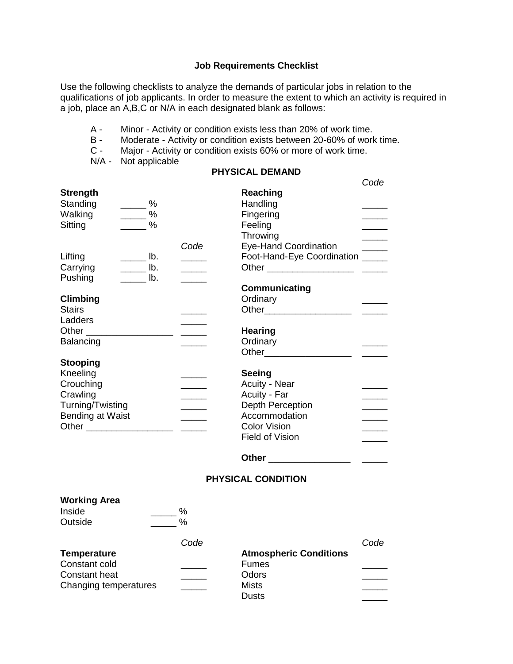## **Job Requirements Checklist**

Use the following checklists to analyze the demands of particular jobs in relation to the qualifications of job applicants. In order to measure the extent to which an activity is required in a job, place an A,B,C or N/A in each designated blank as follows:

- A Minor Activity or condition exists less than 20% of work time.
- B Moderate Activity or condition exists between 20-60% of work time.<br>C Maior Activity or condition exists 60% or more of work time.
- Major Activity or condition exists 60% or more of work time.
- N/A Not applicable

## **PHYSICAL DEMAND**

|                             |                                     |                             |                                  | Code                 |
|-----------------------------|-------------------------------------|-----------------------------|----------------------------------|----------------------|
| <b>Strength</b>             |                                     |                             | Reaching                         |                      |
| Standing                    | $\frac{9}{6}$                       |                             | Handling                         |                      |
| Walking                     | $\frac{9}{6}$                       |                             | Fingering                        |                      |
| Sitting                     | $\frac{9}{6}$                       |                             | Feeling                          |                      |
|                             |                                     |                             | Throwing                         |                      |
|                             |                                     | Code                        | <b>Eye-Hand Coordination</b>     | $\overline{a}$       |
| Lifting                     | $\frac{1}{2}$ lb.                   |                             | Foot-Hand-Eye Coordination _____ |                      |
| Carrying                    | $\frac{1}{\sqrt{1-\frac{1}{2}}}\ln$ |                             |                                  |                      |
| Pushing                     | lb.                                 |                             |                                  |                      |
|                             |                                     |                             | Communicating                    |                      |
| <b>Climbing</b>             |                                     |                             | Ordinary                         |                      |
| <b>Stairs</b>               |                                     |                             | Other_______________________     | <u>and the state</u> |
| Ladders                     |                                     |                             |                                  |                      |
| Other _____________________ |                                     | <u> 1989 - Andrea Stein</u> | <b>Hearing</b>                   |                      |
| Balancing                   |                                     |                             | Ordinary                         |                      |
|                             |                                     |                             |                                  |                      |
| <b>Stooping</b>             |                                     |                             |                                  |                      |
| Kneeling<br>Crouching       |                                     |                             | Seeing                           |                      |
| Crawling                    |                                     | <u> Liberatura de la p</u>  | Acuity - Near<br>Acuity - Far    |                      |
| Turning/Twisting            |                                     |                             | Depth Perception                 |                      |
| Bending at Waist            |                                     |                             | Accommodation                    |                      |
|                             |                                     |                             | <b>Color Vision</b>              |                      |
|                             |                                     |                             | <b>Field of Vision</b>           |                      |
|                             |                                     |                             |                                  |                      |
|                             |                                     |                             | Other ________________           |                      |

## **PHYSICAL CONDITION**

| <b>Working Area</b><br>Inside<br>Outside | $\%$<br>% |                               |      |
|------------------------------------------|-----------|-------------------------------|------|
|                                          | Code      |                               | Code |
| <b>Temperature</b>                       |           | <b>Atmospheric Conditions</b> |      |
| Constant cold                            |           | <b>Fumes</b>                  |      |
| <b>Constant heat</b>                     |           | Odors                         |      |
| Changing temperatures                    |           | <b>Mists</b>                  |      |
|                                          |           | <b>Dusts</b>                  |      |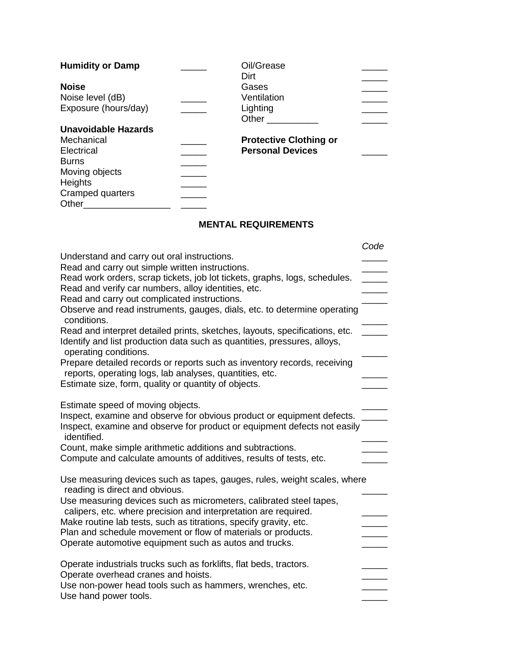| <b>Humidity or Damp</b> | Oil/Grease                    |  |
|-------------------------|-------------------------------|--|
|                         | Dirt                          |  |
| <b>Noise</b>            | Gases                         |  |
| Noise level (dB)        | Ventilation                   |  |
| Exposure (hours/day)    | Lighting                      |  |
|                         | Other                         |  |
| Unavoidable Hazards     |                               |  |
| Mechanical              | <b>Protective Clothing or</b> |  |
| Electrical              | <b>Personal Devices</b>       |  |
| <b>Burns</b>            |                               |  |
| Moving objects          |                               |  |
| Heights                 |                               |  |
| Cramped quarters        |                               |  |
| Other                   |                               |  |

## **MENTAL REQUIREMENTS**